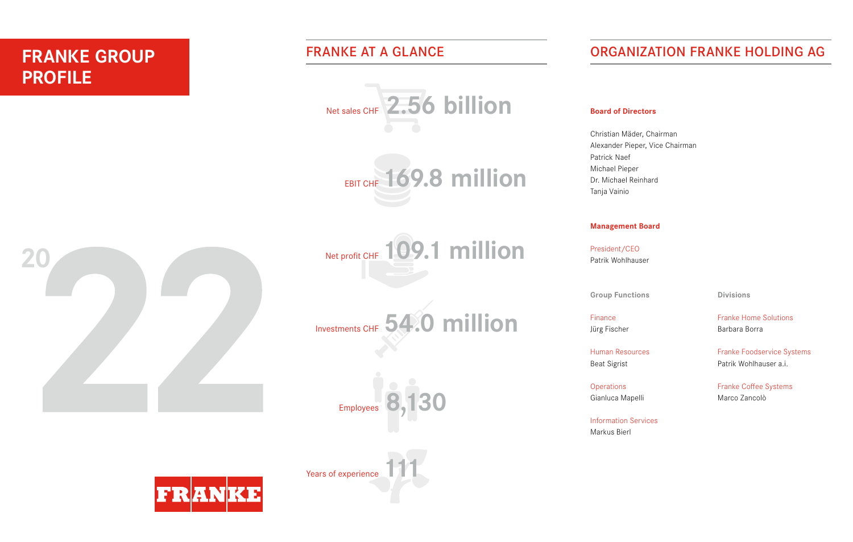# **FRANKE GROUP PROFILE**

## FRANKE AT A GLANCE





## **20**  $k$  is the facilities, equipment and supplies solutions that meet that meet the supplies solutions that meet the supplies solutions that meet the supplies solutions of  $k$ diverse needs of restaurant operators and food retailers. As a fullsystem manufacturer, distributor and program management partner, Franke Foodservice Systems serves global chains in the quickservice restaurant, convenience store and supermarket segments, helping customers to manage unit growth and implement upgrades to their facilities. Activities include outfitting new or renovated stores, assisting with campaigns to support the launch of new menus or service concepts, and swiftly delivering replacement equipment and other supplies to customers. **Systems and solutions** As a manufacturer and distributor, Franke Foodservice Systems efficiently

Net profit CHF 109.1 million art solutions for  $p$  professional corrections in  $p$  $\frac{1}{2}$  Switcherland, Germany,  $\frac{1}{2}$ ,  $\frac{1}{2}$ , as  $\frac{1}{2}$  and  $\frac{1}{2}$  and  $\frac{1}{2}$ 









# ORGANIZATION FRANKE HOLDING AG

### **Board of Directors**

Tanja Vainio Christian Mäder, Chairman Alexander Pieper, Vice Chairman Patrick Naef Michael Pieper Dr. Michael Reinhard Tanja Vainio

### **Management Board**

systems for resident and  $\sim$  resident  $\sim$  long history of a long history of  $\sim$  long history of  $\sim$  100  $\mu$ Patrik Wohlhauser and enduring partners rewarding partners rewarding partners and enduring partner-

**kitchen and controller and controller solutions** controller by offering complete solutions. The controller solutions of the controller solutions of the controller solutions of the controller solutions. The controller solu

Human Resources Beat Sigrist

Finance Jürg Fischer

**Systems** 

**Divisions**

Finance **Exercise and Solutions** and services in the areas of Franke Home Solutions food preparation (sinks and taps) and taps) and taps and hoods and hoods and hoods and hoods and hoods and hoo

Human Resources **Example 18 renowned as a renormal equipment manufacturer (CEM)**, it provides  $\blacksquare$ Beat Sigrist **Exercise Solutions for customers areas** Patrik Wohlhauser a.i.

Gianluca Mapelli **Erange Solutions and services and services for formarity** and services for formarity and service Franke Coffee Systems Marco Zancolò

Information Services sinks, was taps, was the management of the management of the management of the management of the management of the management of the management of the management of the management of the management of systems, extractor hoods and cooking appliances, as well as air purifiers Markus Bierl

Years of experience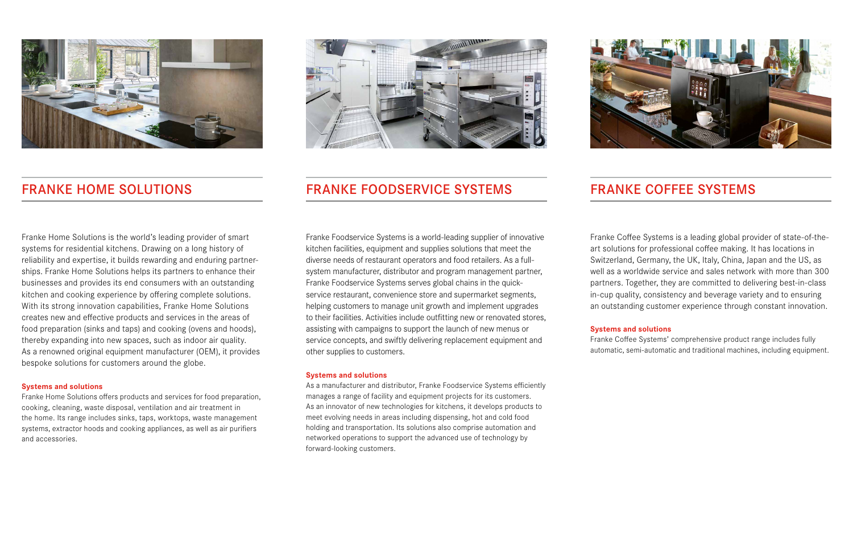

Franke Home Solutions is the world's leading provider of smart systems for residential kitchens. Drawing on a long history of reliability and expertise, it builds rewarding and enduring partnerships. Franke Home Solutions helps its partners to enhance their businesses and provides its end consumers with an outstanding kitchen and cooking experience by offering complete solutions. With its strong innovation capabilities, Franke Home Solutions creates new and effective products and services in the areas of food preparation (sinks and taps) and cooking (ovens and hoods), thereby expanding into new spaces, such as indoor air quality. As a renowned original equipment manufacturer (OEM), it provides bespoke solutions for customers around the globe.

#### **Systems and solutions**

Franke Home Solutions offers products and services for food preparation, cooking, cleaning, waste disposal, ventilation and air treatment in the home. Its range includes sinks, taps, worktops, waste management systems, extractor hoods and cooking appliances, as well as air purifiers and accessories.



## FRANKE HOME SOLUTIONS FRANKE FOODSERVICE SYSTEMS FRANKE COFFEE SYSTEMS

Franke Foodservice Systems is a world-leading supplier of innovative kitchen facilities, equipment and supplies solutions that meet the diverse needs of restaurant operators and food retailers. As a fullsystem manufacturer, distributor and program management partner, Franke Foodservice Systems serves global chains in the quickservice restaurant, convenience store and supermarket segments, helping customers to manage unit growth and implement upgrades to their facilities. Activities include outfitting new or renovated stores, assisting with campaigns to support the launch of new menus or service concepts, and swiftly delivering replacement equipment and other supplies to customers.

#### **Systems and solutions**

As a manufacturer and distributor, Franke Foodservice Systems efficiently manages a range of facility and equipment projects for its customers. As an innovator of new technologies for kitchens, it develops products to meet evolving needs in areas including dispensing, hot and cold food holding and transportation. Its solutions also comprise automation and networked operations to support the advanced use of technology by forward-looking customers.



Franke Coffee Systems is a leading global provider of state-of-theart solutions for professional coffee making. It has locations in Switzerland, Germany, the UK, Italy, China, Japan and the US, as well as a worldwide service and sales network with more than 300 partners. Together, they are committed to delivering best-in-class in-cup quality, consistency and beverage variety and to ensuring an outstanding customer experience through constant innovation.

#### **Systems and solutions**

Franke Coffee Systems' comprehensive product range includes fully automatic, semi-automatic and traditional machines, including equipment.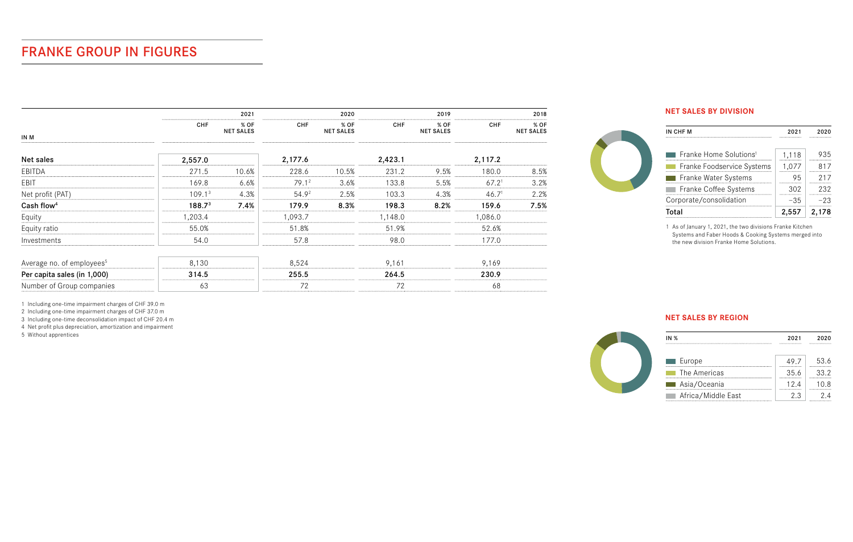# FRANKE GROUP IN FIGURES

|                                       |                    | 2021                     |         | 2020                     |            | 2019                     |                   | 2018                     |  |
|---------------------------------------|--------------------|--------------------------|---------|--------------------------|------------|--------------------------|-------------------|--------------------------|--|
| IN M                                  | <b>CHF</b>         | % OF<br><b>NET SALES</b> | CHF     | % OF<br><b>NET SALES</b> | <b>CHF</b> | % OF<br><b>NET SALES</b> | <b>CHF</b>        | % OF<br><b>NET SALES</b> |  |
| Net sales                             | 2,557.0            |                          | 2,177.6 |                          | 2,423.1    |                          | 2,117.2           |                          |  |
| EBITDA                                | 271.5              | 10.6%                    | 228.6   | 10.5%                    | 231.2      | 9.5%                     | 180.0             | 8.5%                     |  |
| EBIT                                  | 169.8              | 6.6%                     | 79.12   | 3.6%                     | 133.8      | 5.5%                     | 67.2 <sup>1</sup> | 3.2%                     |  |
| Net profit (PAT)                      | 109.1 <sup>3</sup> | 4.3%                     | 54.92   | 2.5%                     | 103.3      | 4.3%                     | 46.7 <sup>1</sup> | 2.2%                     |  |
| Cash flow <sup>4</sup>                | 188.7 <sup>3</sup> | 7.4%                     | 179.9   | 8.3%                     | 198.3      | 8.2%                     | 159.6             | 7.5%                     |  |
| Equity                                | 1,203.4            |                          | 1.093.7 |                          | 1.148.0    |                          | 1.086.0           |                          |  |
| Equity ratio                          | 55.0%              |                          | 51.8%   |                          | 51.9%      |                          | 52.6%             |                          |  |
| Investments                           | 54.0               |                          | 57.8    |                          | 98.0       |                          | 177.0             |                          |  |
| Average no. of employees <sup>5</sup> | 8,130              |                          | 8,524   |                          | 9,161      |                          | 9,169             |                          |  |
| Per capita sales (in 1,000)           | 314.5              |                          | 255.5   |                          | 264.5      |                          | 230.9             |                          |  |
| Number of Group companies             | 63                 |                          | 72      |                          | 72         |                          | 68                |                          |  |

### **NET SALES BY DIVISION**

 $\bigodot$ 

| IN CHF M                                          | 2021  | 2020  |
|---------------------------------------------------|-------|-------|
| $\blacksquare$ Franke Home Solutions <sup>1</sup> | 1.118 | 935   |
| Franke Foodservice Systems                        | 1.077 | 817   |
| Franke Water Systems                              | 95    | 217   |
| Franke Coffee Systems                             | 302   | 232   |
| Corporate/consolidation                           | -35   | -23   |
| Total                                             | 2,557 | 2.178 |

1 As of January 1, 2021, the two divisions Franke Kitchen Systems and Faber Hoods & Cooking Systems merged into the new division Franke Home Solutions.

1 Including one-time impairment charges of CHF 39.0 m

2 Including one-time impairment charges of CHF 37.0 m

3 Including one-time deconsolidation impact of CHF 20.4 m

4 Net profit plus depreciation, amortization and impairment

5 Without apprentices

### **NET SALES BY REGION**

| <b>IN %</b>        | 2021<br> | 2020<br>------------------- |
|--------------------|----------|-----------------------------|
|                    |          |                             |
| ██ Europe          |          | -------------------         |
| The Americas       | マビ ぐ<br> | -------------------         |
| Asia/Oceania       | 12 A<br> | -------------------         |
| Africa/Middle East |          | ------------------          |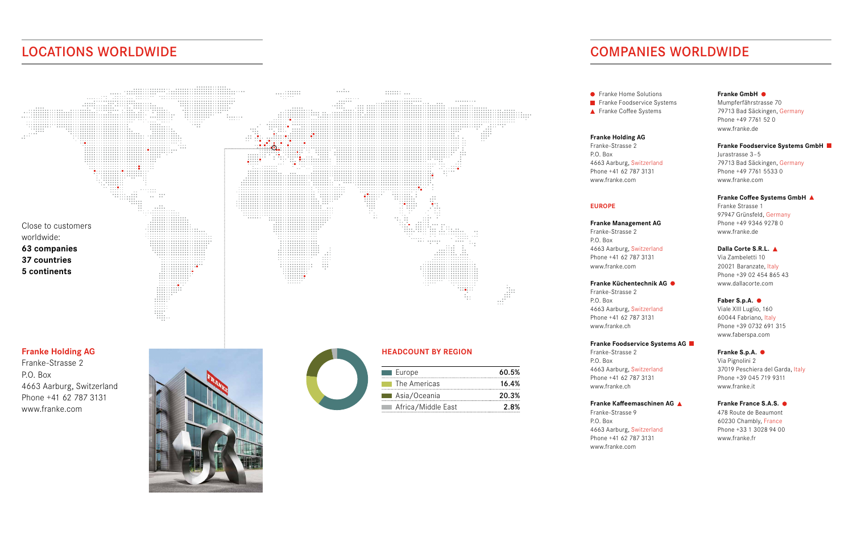## LOCATIONS WORLDWIDE



## COMPANIES WORLDWIDE

**•** Franke Home Solutions Franke Foodservice Systems ▲ Franke Coffee Systems

#### **Franke Holding AG**

Franke-Strasse 2 P.O. Box 4663 Aarburg, Switzerland Phone +41 62 787 3131 www.franke.com

#### **EUROPE**

**Franke Management AG** Franke-Strasse 2 P.O. Box 4663 Aarburg, Switzerland Phone +41 62 787 3131 www.franke.com

#### **Franke Küchentechnik AG**

Franke-Strasse 2 P.O. Box 4663 Aarburg, Switzerland Phone +41 62 787 3131 www.franke.ch

#### **Franke Foodservice Systems AG**

Franke-Strasse 2 P.O. Box 4663 Aarburg, Switzerland Phone +41 62 787 3131 www.franke.ch

#### **Franke Kaffeemaschinen AG**

Franke-Strasse 9 P.O. Box 4663 Aarburg, Switzerland Phone +41 62 787 3131 www.franke.com

#### **Franke GmbH**

Mumpferfährstrasse 70 79713 Bad Säckingen, Germany Phone +49 7761 52 0 www.franke.de

#### **Franke Foodservice Systems GmbH**

Jurastrasse 3-5 79713 Bad Säckingen, Germany Phone +49 7761 5533 0 www.franke.com

#### **Franke Coffee Systems GmbH**

Franke Strasse 1 97947 Grünsfeld, Germany Phone +49 9346 9278 0 www.franke.de

#### **Dalla Corte S.R.L.**

Via Zambeletti 10 20021 Baranzate, Italy Phone +39 02 454 865 43 www.dallacorte.com

#### **Faber S.p.A.**

Viale XIII Luglio, 160 60044 Fabriano, Italy Phone +39 0732 691 315 www.faberspa.com

#### **Franke S.p.A.**

Via Pignolini 2 37019 Peschiera del Garda, Italy Phone +39 045 719 9311 www.franke.it

#### **Franke France S.A.S.**

478 Route de Beaumont 60230 Chambly, France Phone +33 1 3028 94 00 www.franke.fr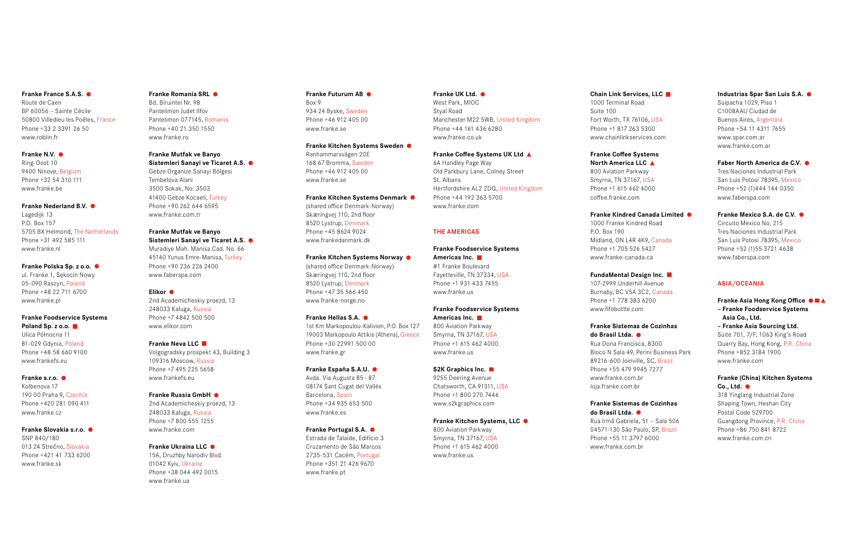#### **Franke France S.A.S.**

Route de Caen BP 60056 – Sainte Cécile 50800 Villedieu les Poêles, France Phone +33 2 3391 26 50 www.roblin.fr

#### **Franke N.V.**

Ring-Oost 10 9400 Ninove, Belgium Phone +32 54 310 111 www.franke.be

#### **Franke Nederland B.V.**

Lagedijk 13 P.O. Box 157 5705 BX Helmond, The Netherlands Phone +31 492 585 111 www.franke.nl

#### **Franke Polska Sp. z o.o.**

ul. Franke 1, Sękocin Nowy 05-090 Raszyn, Poland Phone +48 22 711 6700 www.franke.pl

#### **Franke Foodservice Systems Poland Sp. z o.o.**

Ulica Północna 11 81-029 Gdynia, Poland Phone +48 58 660 9100 www.frankefs.eu

#### **Franke s.r.o.**

Kolbenova 17 190 00 Praha 9, Czechia Phone +420 281 090 411 www.franke.cz

#### **Franke Slovakia s.r.o.**  SNP 840/180

013 24 Strečno, Slovakia Phone +421 41 733 6200 www.franke.sk

#### **Franke Romania SRL**  Bd. Biruintei Nr. 98

Pantelimon Judet Ilfov Pantelimon 077145, Romania Phone +40 21 350 1550 www.franke.ro

#### **Franke Mutfak ve Banyo Sistemleri Sanayi ve Ticaret A.S.**

Gebze Organize Sanayi Bölgesi Tembelova Alani 3500 Sokak, No. 3503 41400 Gebze Kocaeli, Turkey Phone +90 262 644 6595 www.franke.com.tr

### **Franke Mutfak ve Banyo**

**Sistemleri Sanayi ve Ticaret A.S.**  Muradiye Mah. Manisa Cad. No. 66 45140 Yunus Emre-Manisa, Turkey Phone +90 236 226 2400 www.faberspa.com

#### **Elikor**

2nd Academicheskiy proezd, 13 248033 Kaluga, Russia Phone +7 4842 500 500 www.elikor.com

#### **Franke Neva LLC**

Volgogradsky prospekt 43, Building 3 109316 Moscow, Russia Phone +7 495 225 5658 www.frankefs.eu

#### **Franke Russia GmbH**  2nd Academicheskiy proezd, 13

248033 Kaluga, Russia Phone +7 800 555 1255 www.franke.com

#### **Franke Ukraina LLC**

15A, Druzhby Narodiv Blvd. 01042 Kyiv, Ukraine Phone +38 044 492 0015 www.franke.ua

#### **Franke Futurum AB**  Box 9 934 24 Byske, Sweden Phone +46 912 405 00 www.franke.se

**Franke Kitchen Systems Sweden**  Ranhammarsvägen 20E

168 67 Bromma, Sweden Phone +46 912 405 00 www.franke.se

#### **Franke Kitchen Systems Denmark**

(shared office Denmark-Norway) Skæringvej 110, 2nd floor 8520 Lystrup, Denmark Phone +45 8624 9024 www.frankedanmark.dk

#### **Franke Kitchen Systems Norway**

(shared office Denmark-Norway) Skæringvej 110, 2nd floor 8520 Lystrup, Denmark Phone +47 35 566 450 www.franke-norge.no

#### **Franke Hellas S.A.**  1st Km Markopoulou-Kalivion, P.O. Box 127

19003 Markopoulo Attikis (Athens), Greece Phone +30 22991 500 00 www.franke.gr

#### **Franke España S.A.U.**  Avda. Via Augusta 85–87

08174 Sant Cugat del Vallès Barcelona, Spain Phone +34 935 653 500 www.franke.es

#### **Franke Portugal S.A.**  Estrada de Talaíde, Edifício 3

Cruzamento de São Marcos 2735-531 Cacém, Portugal Phone +351 21 426 9670 www.franke.pt

#### **Franke UK Ltd.**  West Park, MIOC Styal Road Manchester M22 5WB, United Kingdom

Phone +44 161 436 6280 www.franke.co.uk

**Franke Coffee Systems UK Ltd**  6A Handley Page Way Old Parkbury Lane, Colney Street St. Albans Hertfordshire AL2 2DQ, United Kingdom Phone +44 192 363 5700 www.franke.com

#### **THE AMERICAS**

#### **Franke Foodservice Systems Americas Inc.**  #1 Franke Boulevard Fayetteville, TN 37334, USA Phone +1 931 433 7455 www.franke.us

#### **Franke Foodservice Systems Americas Inc.**

800 Aviation Parkway Smyrna, TN 37167, USA Phone +1 615 462 4000 www.franke.us

#### **S2K Graphics Inc.**  9255 Deering Avenue

Chatsworth, CA 91311, USA Phone +1 800 270 7446 www.s2kgraphics.com

#### **Franke Kitchen Systems, LLC**

800 Aviation Parkway Smyrna, TN 37167, USA Phone +1 615 462 4000 www.franke.us

### **Chain Link Services, LLC**

Suite 100 Fort Worth, TX 76106, USA Phone +1 817 263 5300 www.chainlinkservices.com

### **Franke Coffee Systems North America LLC**  800 Aviation Parkway Smyrna, TN 37167, USA Phone +1 615 462 4000

**Franke Kindred Canada Limited**  1000 Franke Kindred Road P.O. Box 190 Midland, ON L4R 4K9, Canada Phone +1 705 526 5427

#### **FundaMental Design Inc.**

Burnaby, BC V5A 3C2, Canada Phone +1 778 383 6200 www.fifobottle.com

Rua Dona Francisca, 8300 Bloco N Sala 49, Perini Business Park 89216-600 Joinville, SC, Brazil Phone +55 479 9945 7277 www.franke.com.br

#### **Franke Sistemas de Cozinhas do Brasil Ltda.**

Rua Irmã Gabriela, 51 – Sala 506 04571-130 São Paulo, SP, Brazil Phone +55 11 3797 6000 www.franke.com.br

## 1000 Terminal Road

coffee.franke.com

www.franke-canada.ca

107-2999 Underhill Avenue

#### **Franke Sistemas de Cozinhas do Brasil Ltda.**

loja.franke.com.br

#### **Industrias Spar San Luis S.A.**  Suipacha 1029, Piso 1 C1008AAU Ciudad de Buenos Aires, Argentina Phone +54 11 4311 7655 www.spar.com.ar www.franke.com.ar

**Faber North America de C.V.**  Tres Naciones Industrial Park San Luis Potosí 78395, Mexico Phone +52 (1)444 144 0350 www.faberspa.com

#### **Franke Mexico S.A. de C.V.**  Circuito Mexico No. 215 Tres Naciones Industrial Park San Luis Potosí 78395, Mexico Phone +52 (1)55 3721 4638 www.faberspa.com

#### **ASIA/OCEANIA**

**Franke Asia Hong Kong Office – Franke Foodservice Systems Asia Co., Ltd. – Franke Asia Sourcing Ltd.** Suite 701, 7/F, 1063 King′s Road Quarry Bay, Hong Kong, P.R. China Phone +852 3184 1900 www.franke.com

#### **Franke (China) Kitchen Systems Co., Ltd.**

318 Yinglang Industrial Zone Shaping Town, Heshan City Postal Code 529700 Guangdong Province, P.R. China Phone +86 750 841 8722 www.franke.com.cn